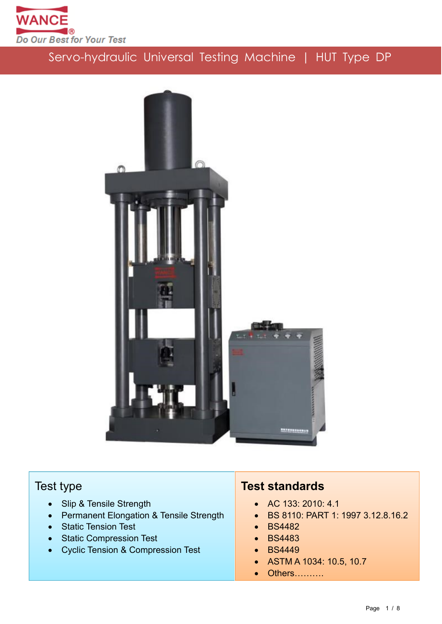



## Test type

- Slip & Tensile Strength
- Permanent Elongation & Tensile Strength
- Static Tension Test
- **Static Compression Test**
- Cyclic Tension & Compression Test

## **Test standards**

- AC 133: 2010: 4.1
- BS 8110: PART 1: 1997 3.12.8.16.2
- BS4482
- BS4483
- BS4449
- ASTM A 1034: 10.5, 10.7
- Others……….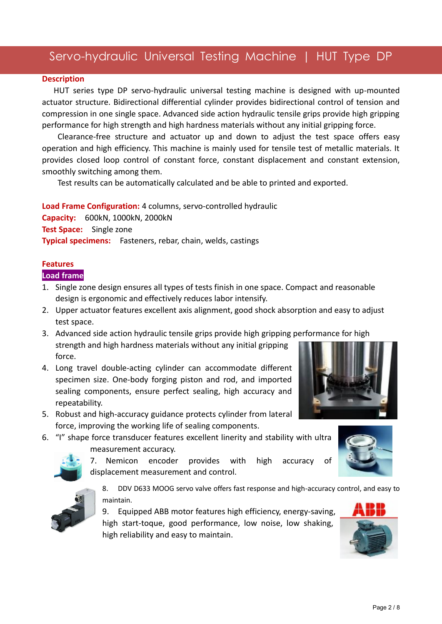#### **Description**

HUT series type DP servo-hydraulic universal testing machine is designed with up-mounted actuator structure. Bidirectional differential cylinder provides bidirectional control of tension and compression in one single space. Advanced side action hydraulic tensile grips provide high gripping performance for high strength and high hardness materials without any initial gripping force.

Clearance-free structure and actuator up and down to adjust the test space offers easy operation and high efficiency. This machine is mainly used for tensile test of metallic materials. It provides closed loop control of constant force, constant displacement and constant extension, smoothly switching among them.

Test results can be automatically calculated and be able to printed and exported.

**Load Frame Configuration:** 4 columns, servo-controlled hydraulic

**Capacity:** 600kN, 1000kN, 2000kN **Test Space:** Single zone **Typical specimens:** Fasteners, rebar, chain, welds, castings

### **Features**

#### **Load frame**

- 1. Single zone design ensures all types of tests finish in one space. Compact and reasonable design is ergonomic and effectively reduces labor intensify.
- 2. Upper actuator features excellent axis alignment, good shock absorption and easy to adjust test space.
- 3. Advanced side action hydraulic tensile grips provide high gripping performance for high strength and high hardness materials without any initial gripping force.
- 4. Long travel double-acting cylinder can accommodate different specimen size. One-body forging piston and rod, and imported sealing components, ensure perfect sealing, high accuracy and repeatability.
- 5. Robust and high-accuracy guidance protects cylinder from lateral force, improving the working life of sealing components.
- 6. "I" shape force transducer features excellent linerity and stability with ultra measurement accuracy.



7. Nemicon encoder provides with high accuracy of displacement measurement and control.



8. DDV D633 MOOG servo valve offers fast response and high-accuracy control, and easy to maintain.

9. Equipped ABB motor features high efficiency, energy-saving, high start-toque, good performance, low noise, low shaking, high reliability and easy to maintain.



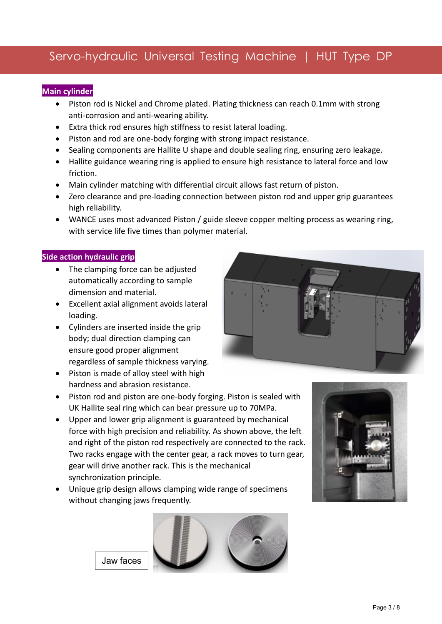### **Main cylinder**

- Piston rod is Nickel and Chrome plated. Plating thickness can reach 0.1mm with strong anti-corrosion and anti-wearing ability.
- Extra thick rod ensures high stiffness to resist lateral loading.
- Piston and rod are one-body forging with strong impact resistance.
- Sealing components are Hallite U shape and double sealing ring, ensuring zero leakage.
- Hallite guidance wearing ring is applied to ensure high resistance to lateral force and low friction.
- Main cylinder matching with differential circuit allows fast return of piston.
- Zero clearance and pre-loading connection between piston rod and upper grip guarantees high reliability.
- WANCE uses most advanced Piston / guide sleeve copper melting process as wearing ring, with service life five times than polymer material.

### **Side action hydraulic grip**

- The clamping force can be adjusted automatically according to sample dimension and material.
- Excellent axial alignment avoids lateral loading.
- Cylinders are inserted inside the grip body; dual direction clamping can ensure good proper alignment regardless of sample thickness varying.
- Piston is made of alloy steel with high hardness and abrasion resistance.
- Piston rod and piston are one-body forging. Piston is sealed with UK Hallite seal ring which can bear pressure up to 70MPa.
- Upper and lower grip alignment is guaranteed by mechanical force with high precision and reliability. As shown above, the left and right of the piston rod respectively are connected to the rack. Two racks engage with the center gear, a rack moves to turn gear, gear will drive another rack. This is the mechanical synchronization principle.
- Unique grip design allows clamping wide range of specimens without changing jaws frequently.





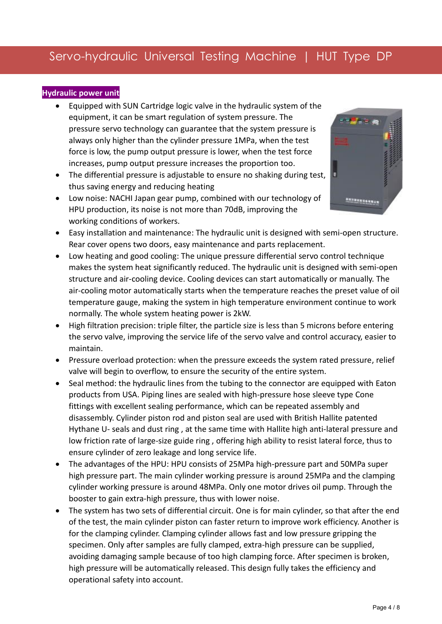## **Hydraulic power unit**

- Equipped with SUN Cartridge logic valve in the hydraulic system of the equipment, it can be smart regulation of system pressure. The pressure servo technology can guarantee that the system pressure is always only higher than the cylinder pressure 1MPa, when the test force is low, the pump output pressure is lower, when the test force increases, pump output pressure increases the proportion too.
- The differential pressure is adjustable to ensure no shaking during test.  $\vert$ thus saving energy and reducing heating
- Low noise: NACHI Japan gear pump, combined with our technology of HPU production, its noise is not more than 70dB, improving the working conditions of workers.



- Easy installation and maintenance: The hydraulic unit is designed with semi-open structure. Rear cover opens two doors, easy maintenance and parts replacement.
- Low heating and good cooling: The unique pressure differential servo control technique makes the system heat significantly reduced. The hydraulic unit is designed with semi-open structure and air-cooling device. Cooling devices can start automatically or manually. The air-cooling motor automatically starts when the temperature reaches the preset value of oil temperature gauge, making the system in high temperature environment continue to work normally. The whole system heating power is 2kW.
- High filtration precision: triple filter, the particle size is less than 5 microns before entering the servo valve, improving the service life of the servo valve and control accuracy, easier to maintain.
- Pressure overload protection: when the pressure exceeds the system rated pressure, relief valve will begin to overflow, to ensure the security of the entire system.
- Seal method: the hydraulic lines from the tubing to the connector are equipped with Eaton products from USA. Piping lines are sealed with high-pressure hose sleeve type Cone fittings with excellent sealing performance, which can be repeated assembly and disassembly. Cylinder piston rod and piston seal are used with British Hallite patented Hythane U- seals and dust ring , at the same time with Hallite high anti-lateral pressure and low friction rate of large-size guide ring , offering high ability to resist lateral force, thus to ensure cylinder of zero leakage and long service life.
- The advantages of the HPU: HPU consists of 25MPa high-pressure part and 50MPa super high pressure part. The main cylinder working pressure is around 25MPa and the clamping cylinder working pressure is around 48MPa. Only one motor drives oil pump. Through the booster to gain extra-high pressure, thus with lower noise.
- The system has two sets of differential circuit. One is for main cylinder, so that after the end of the test, the main cylinder piston can faster return to improve work efficiency. Another is for the clamping cylinder. Clamping cylinder allows fast and low pressure gripping the specimen. Only after samples are fully clamped, extra-high pressure can be supplied, avoiding damaging sample because of too high clamping force. After specimen is broken, high pressure will be automatically released. This design fully takes the efficiency and operational safety into account.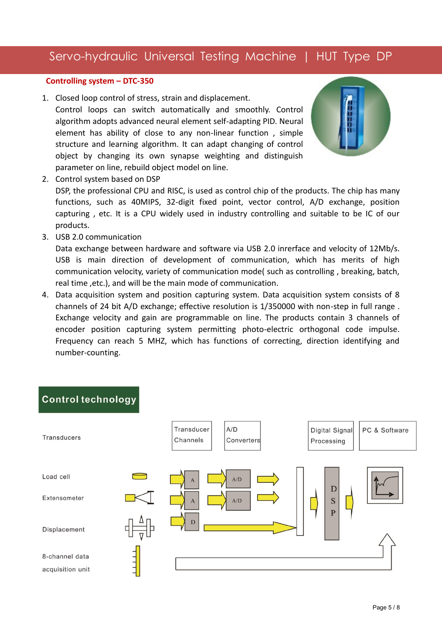#### **Controlling system – DTC-350**

1. Closed loop control of stress, strain and displacement.

Control loops can switch automatically and smoothly. Control algorithm adopts advanced neural element self-adapting PID. Neural element has ability of close to any non-linear function , simple structure and learning algorithm. It can adapt changing of control object by changing its own synapse weighting and distinguish parameter on line, rebuild object model on line.



2. Control system based on DSP

DSP, the professional CPU and RISC, is used as control chip of the products. The chip has many functions, such as 40MIPS, 32-digit fixed point, vector control, A/D exchange, position capturing , etc. It is a CPU widely used in industry controlling and suitable to be IC of our products.

3. USB 2.0 communication

Data exchange between hardware and software via USB 2.0 inrerface and velocity of 12Mb/s. USB is main direction of development of communication, which has merits of high communication velocity, variety of communication mode( such as controlling , breaking, batch, real time ,etc.), and will be the main mode of communication.

4. Data acquisition system and position capturing system. Data acquisition system consists of 8 channels of 24 bit A/D exchange; effective resolution is 1/350000 with non-step in full range . Exchange velocity and gain are programmable on line. The products contain 3 channels of encoder position capturing system permitting photo-electric orthogonal code impulse. Frequency can reach 5 MHZ, which has functions of correcting, direction identifying and number-counting.

## **Control technology**

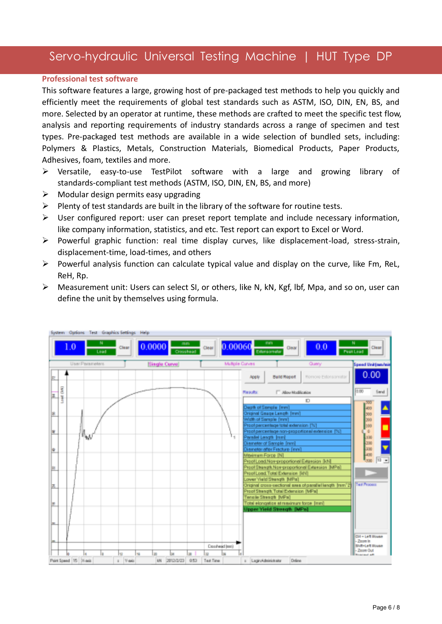#### **Professional test software**

This software features a large, growing host of pre-packaged test methods to help you quickly and efficiently meet the requirements of global test standards such as ASTM, ISO, DIN, EN, BS, and more. Selected by an operator at runtime, these methods are crafted to meet the specific test flow, analysis and reporting requirements of industry standards across a range of specimen and test types. Pre-packaged test methods are available in a wide selection of bundled sets, including: Polymers & Plastics, Metals, Construction Materials, Biomedical Products, Paper Products, Adhesives, foam, textiles and more.

- Versatile, easy-to-use TestPilot software with a large and growing library of standards-compliant test methods (ASTM, ISO, DIN, EN, BS, and more)
- $\triangleright$  Modular design permits easy upgrading
- $\triangleright$  Plenty of test standards are built in the library of the software for routine tests.
- $\triangleright$  User configured report: user can preset report template and include necessary information, like company information, statistics, and etc. Test report can export to Excel or Word.
- Powerful graphic function: real time display curves, like displacement-load, stress-strain, displacement-time, load-times, and others
- $\triangleright$  Powerful analysis function can calculate typical value and display on the curve, like Fm, ReL, ReH, Rp.
- Measurement unit: Users can select SI, or others, like N, kN, Kgf, lbf, Mpa, and so on, user can define the unit by themselves using formula.

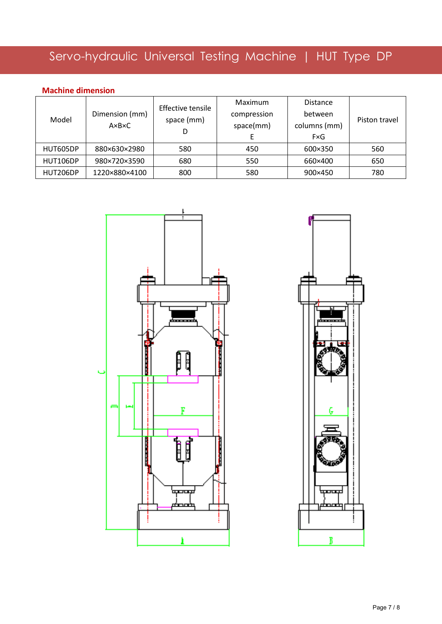### **Machine dimension**

| Model    | Dimension (mm)<br>$A \times B \times C$ | Effective tensile<br>space (mm)<br>D | Maximum<br>compression<br>space(mm) | <b>Distance</b><br>between<br>columns (mm)<br>FxG | Piston travel |
|----------|-----------------------------------------|--------------------------------------|-------------------------------------|---------------------------------------------------|---------------|
| HUT605DP | 880×630×2980                            | 580                                  | 450                                 | 600×350                                           | 560           |
| HUT106DP | 980×720×3590                            | 680                                  | 550                                 | 660×400                                           | 650           |
| HUT206DP | 1220×880×4100                           | 800                                  | 580                                 | 900×450                                           | 780           |